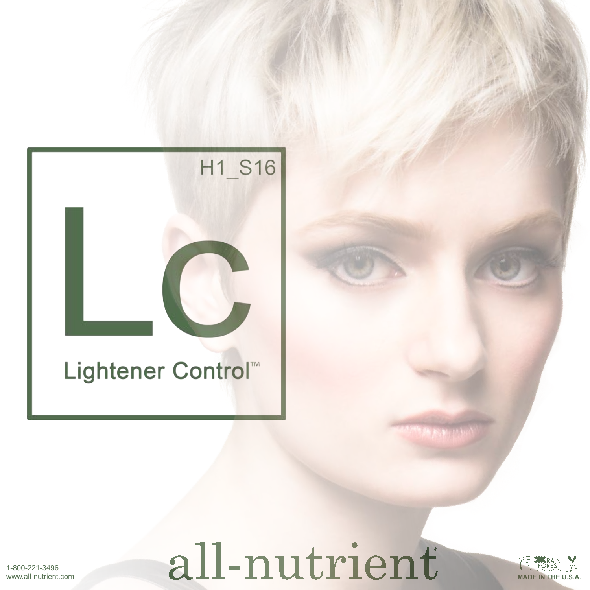# H1\_S16 Lightener Control

## all-nutrient



1-800-221-3496 www.all-nutrient.com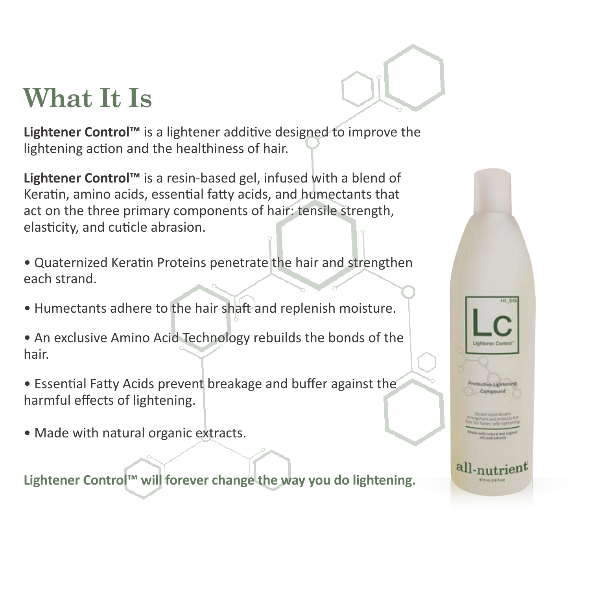#### **What It Is**

**Lightener Control™** is a lightener additive designed to improve the lightening action and the healthiness of hair.

**Lightener Control™** is a resin-based gel, infused with a blend of Keratin, amino acids, essential fatty acids, and humectants that act on the three primary components of hair: tensile strength, elasticity, and cuticle abrasion.

• Quaternized Keratin Proteins penetrate the hair and strengthen each strand.

- Humectants adhere to the hair shaft and replenish moisture.
- An exclusive Amino Acid Technology rebuilds the bonds of the hair.
- Essential Fatty Acids prevent breakage and buffer against the harmful effects of lightening.
- Made with natural organic extracts.

**Lightener Control™ will forever change the way you do lightening.**

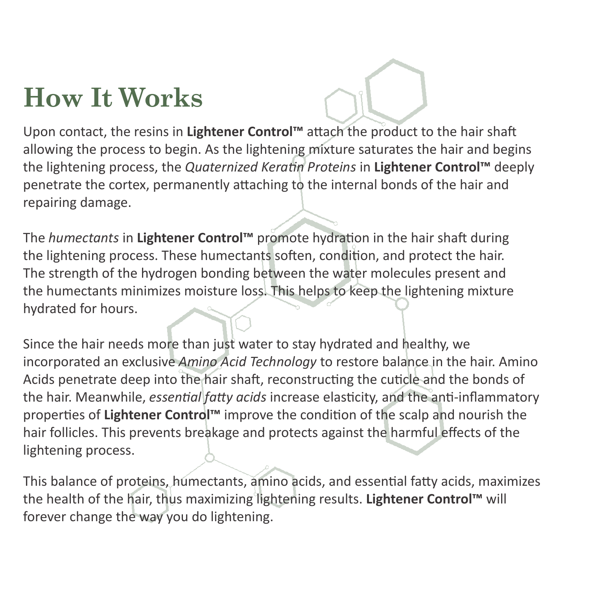## **How It Works**

Upon contact, the resins in **Lightener Control™** attach the product to the hair shaft allowing the process to begin. As the lightening mixture saturates the hair and begins the lightening process, the *Quaternized Keratin Proteins* in **Lightener Control™** deeply penetrate the cortex, permanently attaching to the internal bonds of the hair and repairing damage.

The *humectants* in **Lightener Control™** promote hydration in the hair shaft during the lightening process. These humectants soften, condition, and protect the hair. The strength of the hydrogen bonding between the water molecules present and the humectants minimizes moisture loss. This helps to keep the lightening mixture hydrated for hours.

Since the hair needs more than just water to stay hydrated and healthy, we incorporated an exclusive *Amino Acid Technology* to restore balance in the hair. Amino Acids penetrate deep into the hair shaft, reconstructing the cuticle and the bonds of the hair. Meanwhile, *essential fatty acids* increase elasticity, and the anti-inflammatory properties of **Lightener Control™** improve the condition of the scalp and nourish the hair follicles. This prevents breakage and protects against the harmful effects of the lightening process.

This balance of proteins, humectants, amino acids, and essential fatty acids, maximizes the health of the hair, thus maximizing lightening results. **Lightener Control™** will forever change the way you do lightening.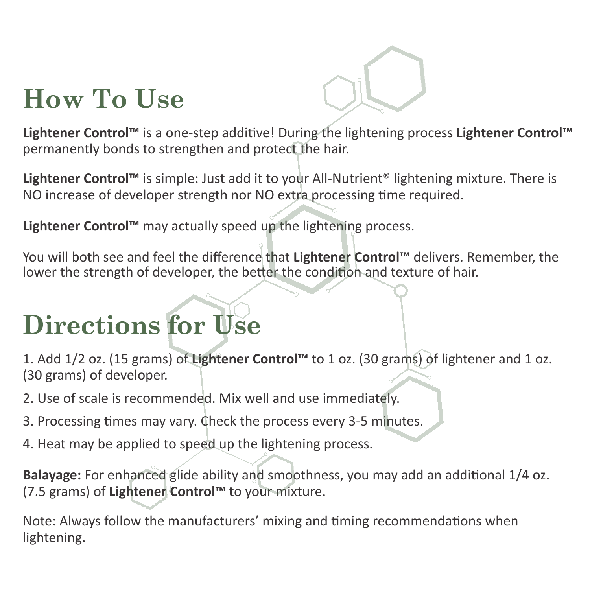## **How To Use**

**Lightener Control™** is a one-step additive! During the lightening process **Lightener Control™** permanently bonds to strengthen and protect the hair.

**Lightener Control™** is simple: Just add it to your All-Nutrient® lightening mixture. There is NO increase of developer strength nor NO extra processing time required.

**Lightener Control™** may actually speed up the lightening process.

You will both see and feel the difference that **Lightener Control™** delivers. Remember, the lower the strength of developer, the better the condition and texture of hair.

## **Directions for Use**

1. Add 1/2 oz. (15 grams) of **Lightener Control™** to 1 oz. (30 grams) of lightener and 1 oz. (30 grams) of developer.

- 2. Use of scale is recommended. Mix well and use immediately.
- 3. Processing times may vary. Check the process every 3-5 minutes.
- 4. Heat may be applied to speed up the lightening process.

**Balayage:** For enhanced glide ability and smoothness, you may add an additional 1/4 oz. (7.5 grams) of **Lightener Control™** to your mixture.

Note: Always follow the manufacturers' mixing and timing recommendations when lightening.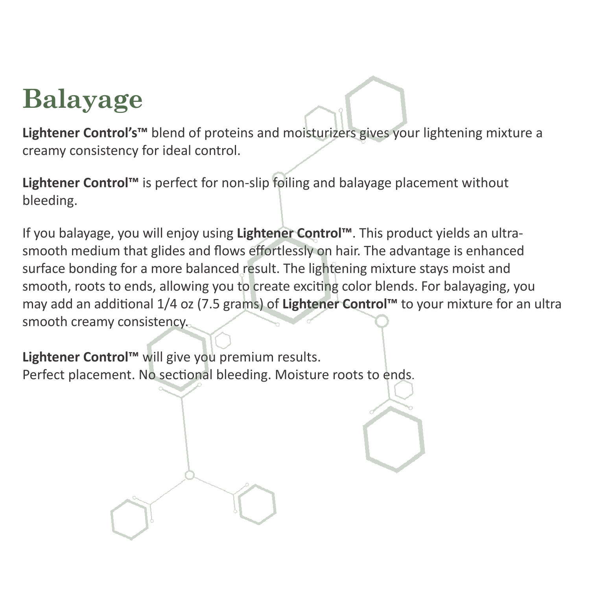## **Balayage**

**Lightener Control's™** blend of proteins and moisturizers gives your lightening mixture a creamy consistency for ideal control.

**Lightener Control™** is perfect for non-slip foiling and balayage placement without bleeding.

If you balayage, you will enjoy using **Lightener Control™**. This product yields an ultrasmooth medium that glides and flows effortlessly on hair. The advantage is enhanced surface bonding for a more balanced result. The lightening mixture stays moist and smooth, roots to ends, allowing you to create exciting color blends. For balayaging, you may add an additional 1/4 oz (7.5 grams) of **Lightener Control™** to your mixture for an ultra smooth creamy consistency.

**Lightener Control™** will give you premium results. Perfect placement. No sectional bleeding. Moisture roots to ends.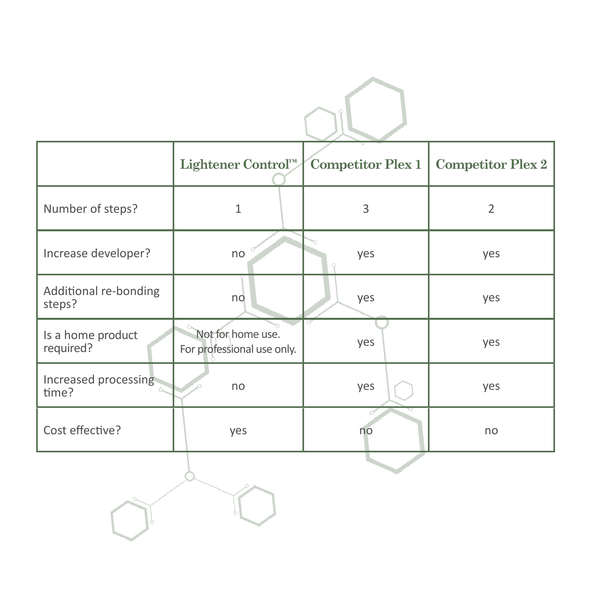|                                 | Lightener Control™                              | <b>Competitor Plex 1</b> | <b>Competitor Plex 2</b> |
|---------------------------------|-------------------------------------------------|--------------------------|--------------------------|
| Number of steps?                | $\mathbf{1}$                                    | 3                        | $\overline{2}$           |
| Increase developer?             | no                                              | yes                      | yes                      |
| Additional re-bonding<br>steps? | no                                              | yes                      | yes                      |
| Is a home product<br>required?  | Not for home use.<br>For professional use only. | yes                      | yes                      |
| Increased processing<br>time?   | no                                              | yes                      | yes                      |
| Cost effective?                 | yes                                             | $\epsilon$<br>no         | no                       |
|                                 |                                                 |                          |                          |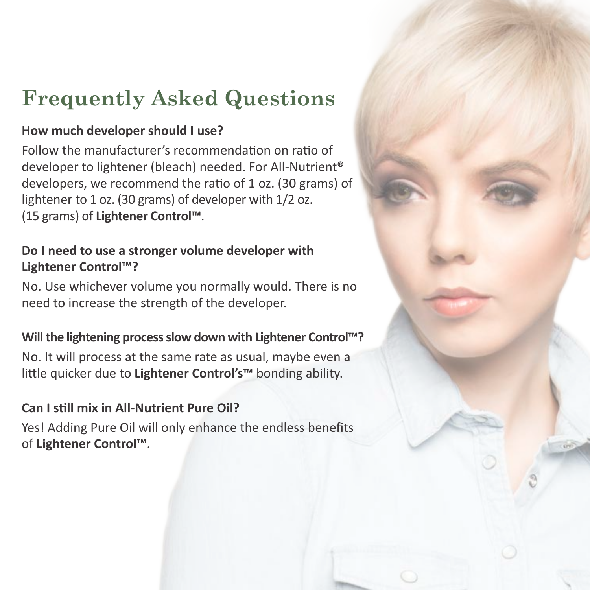#### **Frequently Asked Questions**

#### **How much developer should I use?**

Follow the manufacturer's recommendation on ratio of developer to lightener (bleach) needed. For All-Nutrient**®** developers, we recommend the ratio of 1 oz. (30 grams) of lightener to 1 oz. (30 grams) of developer with 1/2 oz. (15 grams) of **Lightener Control™**.

#### **Do I need to use a stronger volume developer with Lightener Control™?**

No. Use whichever volume you normally would. There is no need to increase the strength of the developer.

#### **Will the lightening process slow down with Lightener Control™?**

No. It will process at the same rate as usual, maybe even a little quicker due to **Lightener Control's™** bonding ability.

#### **Can I still mix in All-Nutrient Pure Oil?**

Yes! Adding Pure Oil will only enhance the endless benefits of **Lightener Control™**.